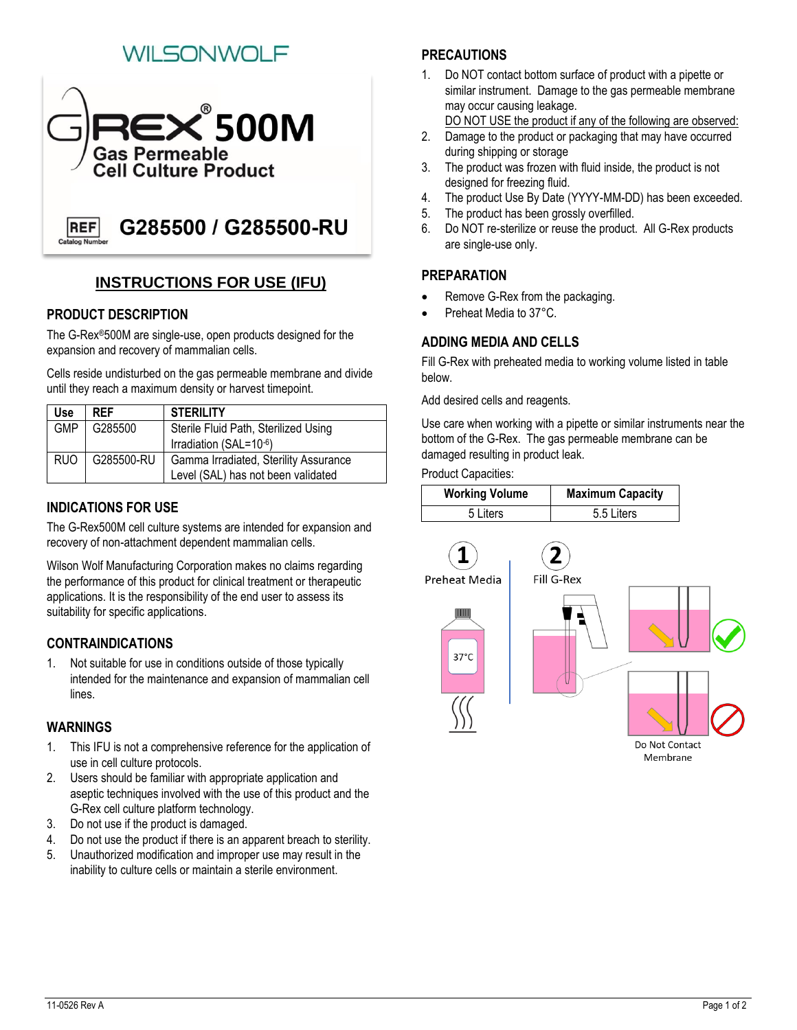# I SONIWOL



## **INSTRUCTIONS FOR USE (IFU)**

#### **PRODUCT DESCRIPTION**

The G-Rex®500M are single-use, open products designed for the expansion and recovery of mammalian cells.

Cells reside undisturbed on the gas permeable membrane and divide until they reach a maximum density or harvest timepoint.

| Use        | <b>RFF</b> | <b>STERILITY</b>                      |
|------------|------------|---------------------------------------|
| <b>GMP</b> | G285500    | Sterile Fluid Path, Sterilized Using  |
|            |            | Irradiation (SAL=10-6)                |
| RUO        | G285500-RU | Gamma Irradiated, Sterility Assurance |
|            |            | Level (SAL) has not been validated    |

#### **INDICATIONS FOR USE**

The G-Rex500M cell culture systems are intended for expansion and recovery of non-attachment dependent mammalian cells.

Wilson Wolf Manufacturing Corporation makes no claims regarding the performance of this product for clinical treatment or therapeutic applications. It is the responsibility of the end user to assess its suitability for specific applications.

## **CONTRAINDICATIONS**

1. Not suitable for use in conditions outside of those typically intended for the maintenance and expansion of mammalian cell lines.

#### **WARNINGS**

- 1. This IFU is not a comprehensive reference for the application of use in cell culture protocols.
- 2. Users should be familiar with appropriate application and aseptic techniques involved with the use of this product and the G-Rex cell culture platform technology.
- 3. Do not use if the product is damaged.
- 4. Do not use the product if there is an apparent breach to sterility.
- 5. Unauthorized modification and improper use may result in the inability to culture cells or maintain a sterile environment.

## **PRECAUTIONS**

1. Do NOT contact bottom surface of product with a pipette or similar instrument. Damage to the gas permeable membrane may occur causing leakage.

DO NOT USE the product if any of the following are observed:

- 2. Damage to the product or packaging that may have occurred during shipping or storage
- 3. The product was frozen with fluid inside, the product is not designed for freezing fluid.
- 4. The product Use By Date (YYYY-MM-DD) has been exceeded.
- 5. The product has been grossly overfilled.
- 6. Do NOT re-sterilize or reuse the product. All G-Rex products are single-use only.

## **PREPARATION**

- Remove G-Rex from the packaging.
- Preheat Media to 37°C.

## **ADDING MEDIA AND CELLS**

Fill G-Rex with preheated media to working volume listed in table below.

Add desired cells and reagents.

Use care when working with a pipette or similar instruments near the bottom of the G-Rex. The gas permeable membrane can be damaged resulting in product leak.

Product Capacities:

| <b>Working Volume</b> | <b>Maximum Capacity</b> |
|-----------------------|-------------------------|
| 5 Liters              | 5.5 Liters              |